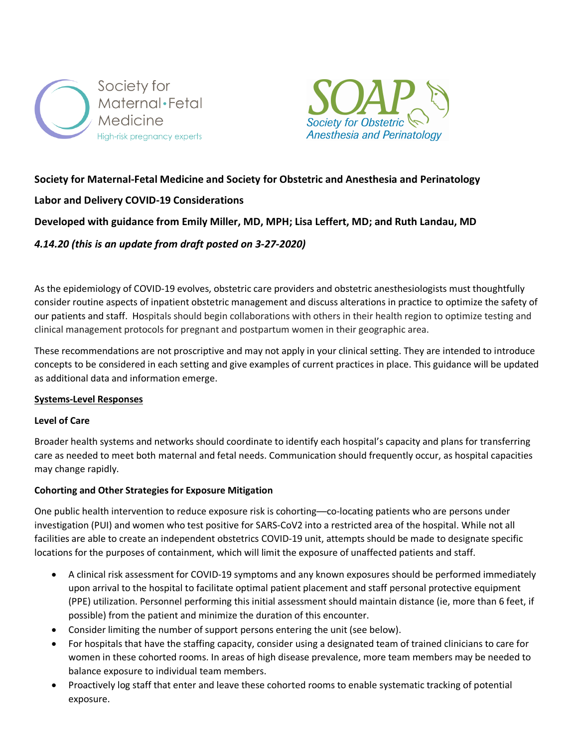



## **Society for Maternal-Fetal Medicine and Society for Obstetric and Anesthesia and Perinatology**

## **Labor and Delivery COVID-19 Considerations**

## **Developed with guidance from Emily Miller, MD, MPH; Lisa Leffert, MD; and Ruth Landau, MD**

## *4.14.20 (this is an update from draft posted on 3-27-2020)*

As the epidemiology of COVID-19 evolves, obstetric care providers and obstetric anesthesiologists must thoughtfully consider routine aspects of inpatient obstetric management and discuss alterations in practice to optimize the safety of our patients and staff. Hospitals should begin collaborations with others in their health region to optimize testing and clinical management protocols for pregnant and postpartum women in their geographic area.

These recommendations are not proscriptive and may not apply in your clinical setting. They are intended to introduce concepts to be considered in each setting and give examples of current practices in place. This guidance will be updated as additional data and information emerge.

### **Systems-Level Responses**

### **Level of Care**

Broader health systems and networks should coordinate to identify each hospital's capacity and plans for transferring care as needed to meet both maternal and fetal needs. Communication should frequently occur, as hospital capacities may change rapidly.

### **Cohorting and Other Strategies for Exposure Mitigation**

One public health intervention to reduce exposure risk is cohorting—co-locating patients who are persons under investigation (PUI) and women who test positive for SARS-CoV2 into a restricted area of the hospital. While not all facilities are able to create an independent obstetrics COVID-19 unit, attempts should be made to designate specific locations for the purposes of containment, which will limit the exposure of unaffected patients and staff.

- A clinical risk assessment for COVID-19 symptoms and any known exposures should be performed immediately upon arrival to the hospital to facilitate optimal patient placement and staff personal protective equipment (PPE) utilization. Personnel performing this initial assessment should maintain distance (ie, more than 6 feet, if possible) from the patient and minimize the duration of this encounter.
- Consider limiting the number of support persons entering the unit (see below).
- For hospitals that have the staffing capacity, consider using a designated team of trained clinicians to care for women in these cohorted rooms. In areas of high disease prevalence, more team members may be needed to balance exposure to individual team members.
- Proactively log staff that enter and leave these cohorted rooms to enable systematic tracking of potential exposure.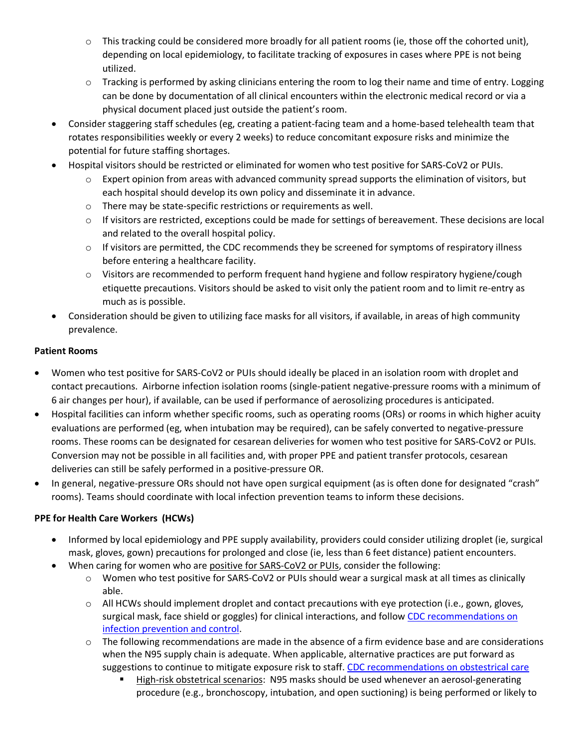- $\circ$  This tracking could be considered more broadly for all patient rooms (ie, those off the cohorted unit), depending on local epidemiology, to facilitate tracking of exposures in cases where PPE is not being utilized.
- $\circ$  Tracking is performed by asking clinicians entering the room to log their name and time of entry. Logging can be done by documentation of all clinical encounters within the electronic medical record or via a physical document placed just outside the patient's room.
- Consider staggering staff schedules (eg, creating a patient-facing team and a home-based telehealth team that rotates responsibilities weekly or every 2 weeks) to reduce concomitant exposure risks and minimize the potential for future staffing shortages.
- Hospital visitors should be restricted or eliminated for women who test positive for SARS-CoV2 or PUIs.
	- $\circ$  Expert opinion from areas with advanced community spread supports the elimination of visitors, but each hospital should develop its own policy and disseminate it in advance.
	- o There may be state-specific restrictions or requirements as well.
	- o If visitors are restricted, exceptions could be made for settings of bereavement. These decisions are local and related to the overall hospital policy.
	- $\circ$  If visitors are permitted, the CDC recommends they be screened for symptoms of respiratory illness before entering a healthcare facility.
	- o Visitors are recommended to perform frequent hand hygiene and follow respiratory hygiene/cough etiquette precautions. Visitors should be asked to visit only the patient room and to limit re-entry as much as is possible.
- Consideration should be given to utilizing face masks for all visitors, if available, in areas of high community prevalence.

# **Patient Rooms**

- Women who test positive for SARS-CoV2 or PUIs should ideally be placed in an isolation room with droplet and contact precautions. Airborne infection isolation rooms (single-patient negative-pressure rooms with a minimum of 6 air changes per hour), if available, can be used if performance of aerosolizing procedures is anticipated.
- Hospital facilities can inform whether specific rooms, such as operating rooms (ORs) or rooms in which higher acuity evaluations are performed (eg, when intubation may be required), can be safely converted to negative-pressure rooms. These rooms can be designated for cesarean deliveries for women who test positive for SARS-CoV2 or PUIs. Conversion may not be possible in all facilities and, with proper PPE and patient transfer protocols, cesarean deliveries can still be safely performed in a positive-pressure OR.
- In general, negative-pressure ORs should not have open surgical equipment (as is often done for designated "crash" rooms). Teams should coordinate with local infection prevention teams to inform these decisions.

# **PPE for Health Care Workers (HCWs)**

- Informed by local epidemiology and PPE supply availability, providers could consider utilizing droplet (ie, surgical mask, gloves, gown) precautions for prolonged and close (ie, less than 6 feet distance) patient encounters.
- When caring for women who are positive for SARS-CoV2 or PUIs, consider the following:
	- o Women who test positive for SARS-CoV2 or PUIs should wear a surgical mask at all times as clinically able.
	- o All HCWs should implement droplet and contact precautions with eye protection (i.e., gown, gloves, surgical mask, face shield or goggles) for clinical interactions, and follow CDC recommendations on infection prevention and control.
	- $\circ$  The following recommendations are made in the absence of a firm evidence base and are considerations when the N95 supply chain is adequate. When applicable, alternative practices are put forward as suggestions to continue to mitigate exposure risk to staff. CDC recommendations on obstestrical care
		- High-risk obstetrical scenarios: N95 masks should be used whenever an aerosol-generating procedure (e.g., bronchoscopy, intubation, and open suctioning) is being performed or likely to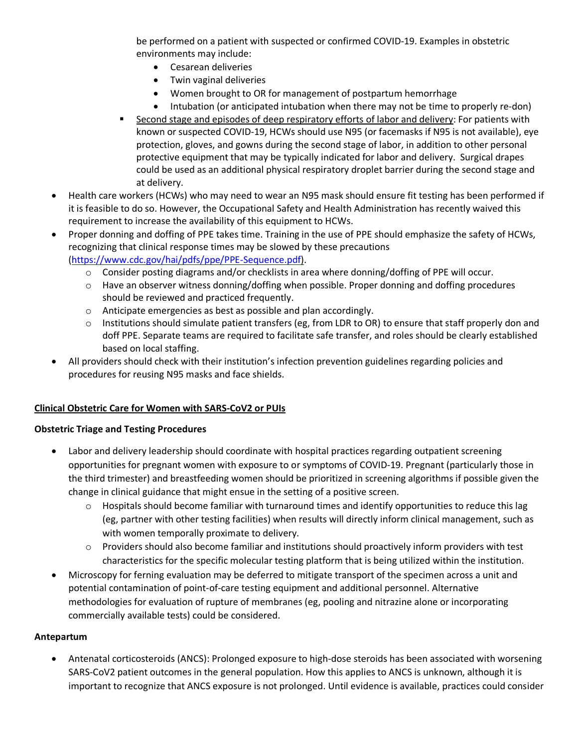be performed on a patient with suspected or confirmed COVID-19. Examples in obstetric environments may include:

- Cesarean deliveries
- Twin vaginal deliveries
- Women brought to OR for management of postpartum hemorrhage
- Intubation (or anticipated intubation when there may not be time to properly re-don)
- Second stage and episodes of deep respiratory efforts of labor and delivery: For patients with known or suspected COVID-19, HCWs should use N95 (or facemasks if N95 is not available), eye protection, gloves, and gowns during the second stage of labor, in addition to other personal protective equipment that may be typically indicated for labor and delivery. Surgical drapes could be used as an additional physical respiratory droplet barrier during the second stage and at delivery.
- Health care workers (HCWs) who may need to wear an N95 mask should ensure fit testing has been performed if it is feasible to do so. However, the Occupational Safety and Health Administration has recently waived this requirement to increase the availability of this equipment to HCWs.
- Proper donning and doffing of PPE takes time. Training in the use of PPE should emphasize the safety of HCWs, recognizing that clinical response times may be slowed by these precautions (https://www.cdc.gov/hai/pdfs/ppe/PPE-Sequence.pdf).
	- $\circ$  Consider posting diagrams and/or checklists in area where donning/doffing of PPE will occur.
	- $\circ$  Have an observer witness donning/doffing when possible. Proper donning and doffing procedures should be reviewed and practiced frequently.
	- o Anticipate emergencies as best as possible and plan accordingly.
	- $\circ$  Institutions should simulate patient transfers (eg, from LDR to OR) to ensure that staff properly don and doff PPE. Separate teams are required to facilitate safe transfer, and roles should be clearly established based on local staffing.
- All providers should check with their institution's infection prevention guidelines regarding policies and procedures for reusing N95 masks and face shields.

### **Clinical Obstetric Care for Women with SARS-CoV2 or PUIs**

### **Obstetric Triage and Testing Procedures**

- Labor and delivery leadership should coordinate with hospital practices regarding outpatient screening opportunities for pregnant women with exposure to or symptoms of COVID-19. Pregnant (particularly those in the third trimester) and breastfeeding women should be prioritized in screening algorithms if possible given the change in clinical guidance that might ensue in the setting of a positive screen.
	- $\circ$  Hospitals should become familiar with turnaround times and identify opportunities to reduce this lag (eg, partner with other testing facilities) when results will directly inform clinical management, such as with women temporally proximate to delivery.
	- $\circ$  Providers should also become familiar and institutions should proactively inform providers with test characteristics for the specific molecular testing platform that is being utilized within the institution.
- Microscopy for ferning evaluation may be deferred to mitigate transport of the specimen across a unit and potential contamination of point-of-care testing equipment and additional personnel. Alternative methodologies for evaluation of rupture of membranes (eg, pooling and nitrazine alone or incorporating commercially available tests) could be considered.

### **Antepartum**

• Antenatal corticosteroids (ANCS): Prolonged exposure to high-dose steroids has been associated with worsening SARS-CoV2 patient outcomes in the general population. How this applies to ANCS is unknown, although it is important to recognize that ANCS exposure is not prolonged. Until evidence is available, practices could consider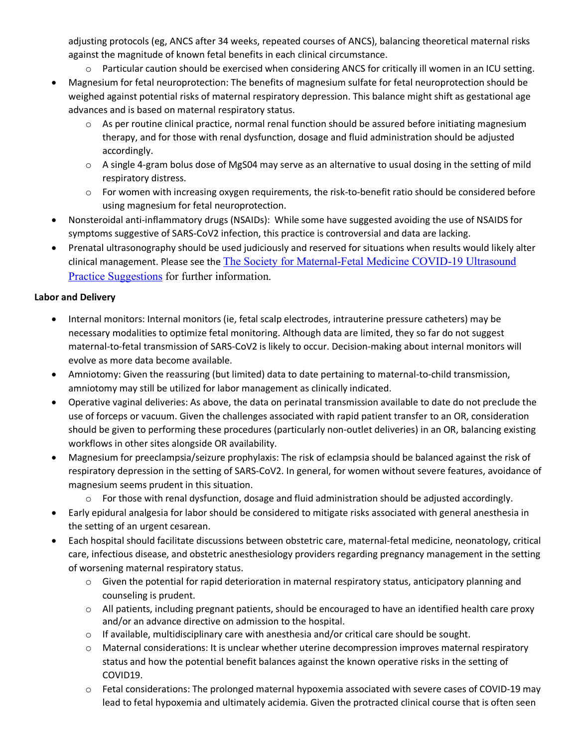adjusting protocols (eg, ANCS after 34 weeks, repeated courses of ANCS), balancing theoretical maternal risks against the magnitude of known fetal benefits in each clinical circumstance.

- o Particular caution should be exercised when considering ANCS for critically ill women in an ICU setting.
- Magnesium for fetal neuroprotection: The benefits of magnesium sulfate for fetal neuroprotection should be weighed against potential risks of maternal respiratory depression. This balance might shift as gestational age advances and is based on maternal respiratory status.
	- $\circ$  As per routine clinical practice, normal renal function should be assured before initiating magnesium therapy, and for those with renal dysfunction, dosage and fluid administration should be adjusted accordingly.
	- o A single 4-gram bolus dose of MgS04 may serve as an alternative to usual dosing in the setting of mild respiratory distress.
	- o For women with increasing oxygen requirements, the risk-to-benefit ratio should be considered before using magnesium for fetal neuroprotection.
- Nonsteroidal anti-inflammatory drugs (NSAIDs): While some have suggested avoiding the use of NSAIDS for symptoms suggestive of SARS-CoV2 infection, this practice is controversial and data are lacking.
- Prenatal ultrasonography should be used judiciously and reserved for situations when results would likely alter clinical management. Please see the The Society for Maternal-Fetal Medicine COVID-19 Ultrasound Practice Suggestions for further information.

### **Labor and Delivery**

- Internal monitors: Internal monitors (ie, fetal scalp electrodes, intrauterine pressure catheters) may be necessary modalities to optimize fetal monitoring. Although data are limited, they so far do not suggest maternal-to-fetal transmission of SARS-CoV2 is likely to occur. Decision-making about internal monitors will evolve as more data become available.
- Amniotomy: Given the reassuring (but limited) data to date pertaining to maternal-to-child transmission, amniotomy may still be utilized for labor management as clinically indicated.
- Operative vaginal deliveries: As above, the data on perinatal transmission available to date do not preclude the use of forceps or vacuum. Given the challenges associated with rapid patient transfer to an OR, consideration should be given to performing these procedures (particularly non-outlet deliveries) in an OR, balancing existing workflows in other sites alongside OR availability.
- Magnesium for preeclampsia/seizure prophylaxis: The risk of eclampsia should be balanced against the risk of respiratory depression in the setting of SARS-CoV2. In general, for women without severe features, avoidance of magnesium seems prudent in this situation.
	- o For those with renal dysfunction, dosage and fluid administration should be adjusted accordingly.
- Early epidural analgesia for labor should be considered to mitigate risks associated with general anesthesia in the setting of an urgent cesarean.
- Each hospital should facilitate discussions between obstetric care, maternal-fetal medicine, neonatology, critical care, infectious disease, and obstetric anesthesiology providers regarding pregnancy management in the setting of worsening maternal respiratory status.
	- $\circ$  Given the potential for rapid deterioration in maternal respiratory status, anticipatory planning and counseling is prudent.
	- $\circ$  All patients, including pregnant patients, should be encouraged to have an identified health care proxy and/or an advance directive on admission to the hospital.
	- $\circ$  If available, multidisciplinary care with anesthesia and/or critical care should be sought.
	- o Maternal considerations: It is unclear whether uterine decompression improves maternal respiratory status and how the potential benefit balances against the known operative risks in the setting of COVID19.
	- o Fetal considerations: The prolonged maternal hypoxemia associated with severe cases of COVID-19 may lead to fetal hypoxemia and ultimately acidemia. Given the protracted clinical course that is often seen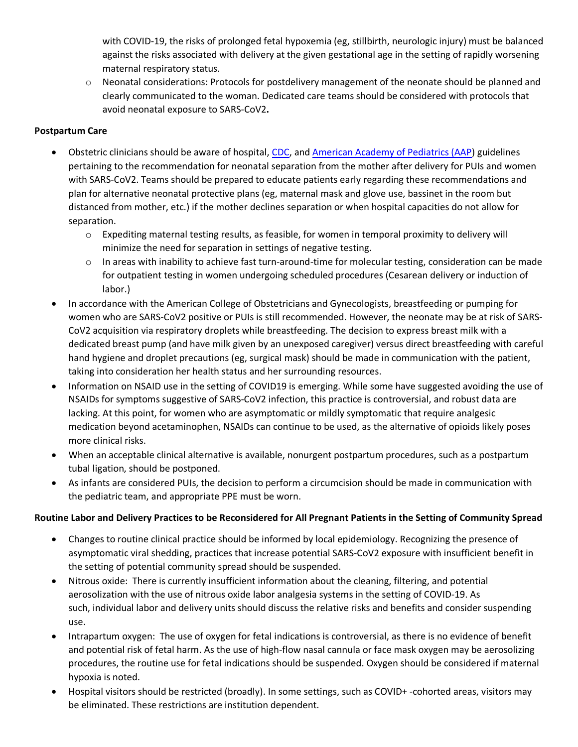with COVID-19, the risks of prolonged fetal hypoxemia (eg, stillbirth, neurologic injury) must be balanced against the risks associated with delivery at the given gestational age in the setting of rapidly worsening maternal respiratory status.

o Neonatal considerations: Protocols for postdelivery management of the neonate should be planned and clearly communicated to the woman. Dedicated care teams should be considered with protocols that avoid neonatal exposure to SARS-CoV2**.**

## **Postpartum Care**

- Obstetric clinicians should be aware of hospital, CDC, and American Academy of Pediatrics (AAP) guidelines pertaining to the recommendation for neonatal separation from the mother after delivery for PUIs and women with SARS-CoV2. Teams should be prepared to educate patients early regarding these recommendations and plan for alternative neonatal protective plans (eg, maternal mask and glove use, bassinet in the room but distanced from mother, etc.) if the mother declines separation or when hospital capacities do not allow for separation.
	- $\circ$  Expediting maternal testing results, as feasible, for women in temporal proximity to delivery will minimize the need for separation in settings of negative testing.
	- o In areas with inability to achieve fast turn-around-time for molecular testing, consideration can be made for outpatient testing in women undergoing scheduled procedures (Cesarean delivery or induction of labor.)
- In accordance with the American College of Obstetricians and Gynecologists, breastfeeding or pumping for women who are SARS-CoV2 positive or PUIs is still recommended. However, the neonate may be at risk of SARS-CoV2 acquisition via respiratory droplets while breastfeeding. The decision to express breast milk with a dedicated breast pump (and have milk given by an unexposed caregiver) versus direct breastfeeding with careful hand hygiene and droplet precautions (eg, surgical mask) should be made in communication with the patient, taking into consideration her health status and her surrounding resources.
- Information on NSAID use in the setting of COVID19 is emerging. While some have suggested avoiding the use of NSAIDs for symptoms suggestive of SARS-CoV2 infection, this practice is controversial, and robust data are lacking. At this point, for women who are asymptomatic or mildly symptomatic that require analgesic medication beyond acetaminophen, NSAIDs can continue to be used, as the alternative of opioids likely poses more clinical risks.
- When an acceptable clinical alternative is available, nonurgent postpartum procedures, such as a postpartum tubal ligation, should be postponed.
- As infants are considered PUIs, the decision to perform a circumcision should be made in communication with the pediatric team, and appropriate PPE must be worn.

### **Routine Labor and Delivery Practices to be Reconsidered for All Pregnant Patients in the Setting of Community Spread**

- Changes to routine clinical practice should be informed by local epidemiology. Recognizing the presence of asymptomatic viral shedding, practices that increase potential SARS-CoV2 exposure with insufficient benefit in the setting of potential community spread should be suspended.
- Nitrous oxide: There is currently insufficient information about the cleaning, filtering, and potential aerosolization with the use of nitrous oxide labor analgesia systems in the setting of COVID-19. As such, individual labor and delivery units should discuss the relative risks and benefits and consider suspending use.
- Intrapartum oxygen: The use of oxygen for fetal indications is controversial, as there is no evidence of benefit and potential risk of fetal harm. As the use of high-flow nasal cannula or face mask oxygen may be aerosolizing procedures, the routine use for fetal indications should be suspended. Oxygen should be considered if maternal hypoxia is noted.
- Hospital visitors should be restricted (broadly). In some settings, such as COVID+ -cohorted areas, visitors may be eliminated. These restrictions are institution dependent.